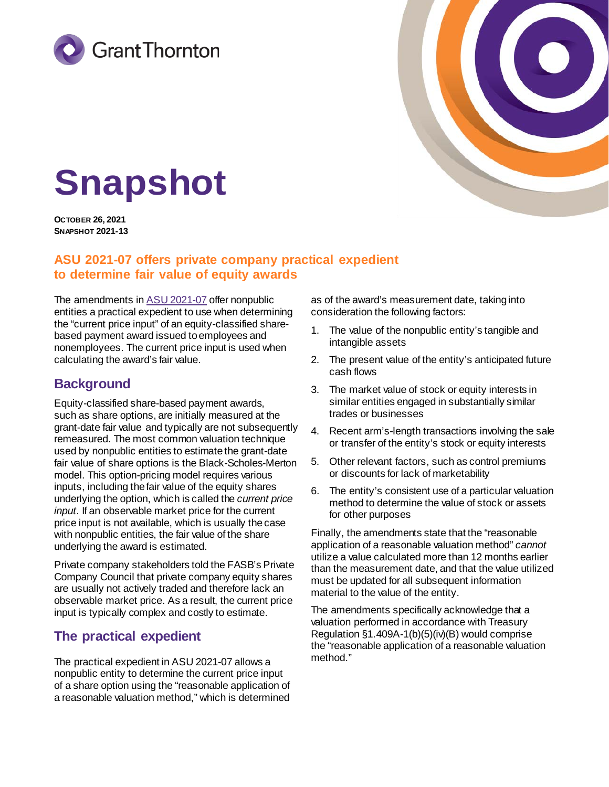



# **Snapshot**

**OCTOBER 26, 2021 SNAPSHOT 2021-13**

## **ASU 2021-07 offers private company practical expedient to determine fair value of equity awards**

The amendments in [ASU 2021-07](https://fasb.org/cs/Satellite?c=Document_C&cid=1176178770358&pagename=FASB%2FDocument_C%2FDocumentPage) offer nonpublic entities a practical expedient to use when determining the "current price input" of an equity-classified sharebased payment award issued to employees and nonemployees. The current price input is used when calculating the award's fair value.

# **Background**

Equity-classified share-based payment awards, such as share options, are initially measured at the grant-date fair value and typically are not subsequently remeasured. The most common valuation technique used by nonpublic entities to estimate the grant-date fair value of share options is the Black-Scholes-Merton model. This option-pricing model requires various inputs, including the fair value of the equity shares underlying the option, which is called the *current price input*. If an observable market price for the current price input is not available, which is usually the case with nonpublic entities, the fair value of the share underlying the award is estimated.

Private company stakeholders told the FASB's Private Company Council that private company equity shares are usually not actively traded and therefore lack an observable market price. As a result, the current price input is typically complex and costly to estimate.

## **The practical expedient**

The practical expedient in ASU 2021-07 allows a nonpublic entity to determine the current price input of a share option using the "reasonable application of a reasonable valuation method," which is determined

as of the award's measurement date, taking into consideration the following factors:

- 1. The value of the nonpublic entity's tangible and intangible assets
- 2. The present value of the entity's anticipated future cash flows
- 3. The market value of stock or equity interests in similar entities engaged in substantially similar trades or businesses
- 4. Recent arm's-length transactions involving the sale or transfer of the entity's stock or equity interests
- 5. Other relevant factors, such as control premiums or discounts for lack of marketability
- 6. The entity's consistent use of a particular valuation method to determine the value of stock or assets for other purposes

Finally, the amendments state that the "reasonable application of a reasonable valuation method" *cannot* utilize a value calculated more than 12 months earlier than the measurement date, and that the value utilized must be updated for all subsequent information material to the value of the entity.

The amendments specifically acknowledge that a valuation performed in accordance with Treasury Regulation §1.409A-1(b)(5)(iv)(B) would comprise the "reasonable application of a reasonable valuation method."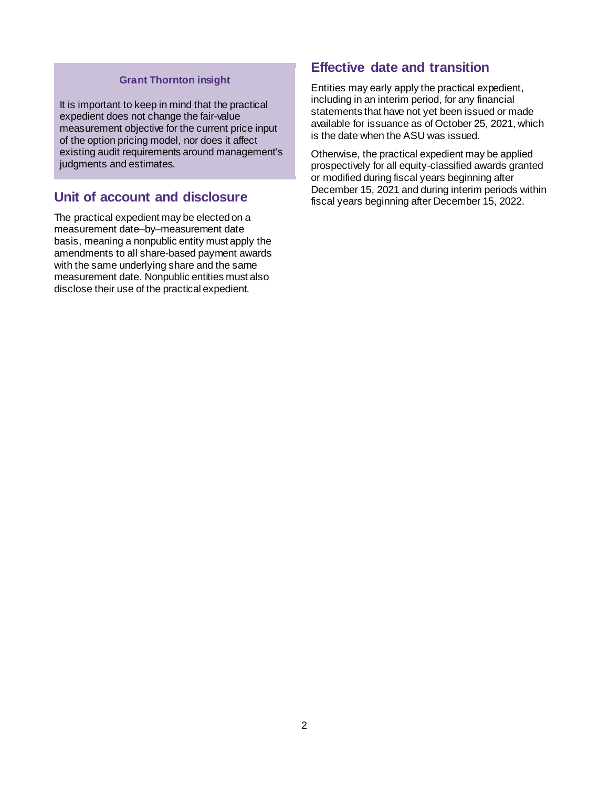#### **Grant Thornton insight**

It is important to keep in mind that the practical expedient does not change the fair-value measurement objective for the current price input of the option pricing model, nor does it affect existing audit requirements around management's judgments and estimates.

## **Unit of account and disclosure**

The practical expedient may be elected on a measurement date–by–measurement date basis, meaning a nonpublic entity must apply the amendments to all share-based payment awards with the same underlying share and the same measurement date. Nonpublic entities must also disclose their use of the practical expedient.

### **Effective date and transition**

Entities may early apply the practical expedient, including in an interim period, for any financial statements that have not yet been issued or made available for issuance as of October 25, 2021, which is the date when the ASU was issued.

Otherwise, the practical expedient may be applied prospectively for all equity-classified awards granted or modified during fiscal years beginning after December 15, 2021 and during interim periods within fiscal years beginning after December 15, 2022.